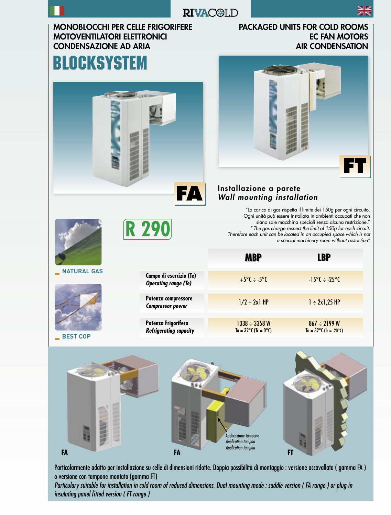

### **RIVAC@LD**

#### MONOBLOCCHI PER CELLE FRIGORIFERE MOTOVENTILATORI ELETTRONICI CONDENSAZIONE AD ARIA

## **BLOCKSYSTEM**



**R290** 

#### PACKAGED UNITS FOR COLD ROOMS EC FAN MOTORS AIR CONDENSATION



#### Installazione a parete Wall mounting installation

"La carica di gas rispetta il limite dei 150g per ogni circuito. Ogni unità può essere installata in ambienti occupati che non siano sale macchina speciali senza alcuna restrizione." " The gas charge respect the limit of 150g for each circuit. Therefore each unit can be located in an occupied space which is not a special machinery room without restriction"

|                    |                                                        | <b>MBP</b>                                       | <b>LBP</b>                                               |
|--------------------|--------------------------------------------------------|--------------------------------------------------|----------------------------------------------------------|
| <b>NATURAL GAS</b> | Campo di esercizio (Te)<br><b>Operating range (Te)</b> | $+5^{\circ}C \div -5^{\circ}C$                   | $-15^{\circ}C - 25^{\circ}C$                             |
|                    | Potenza compressore<br><b>Compressor power</b>         | $1/2 \div 2x1$ HP                                | $1 \div 2x1,25$ HP                                       |
| <b>BEST COP</b>    | Potenza Frigorifera<br><b>Refrigerating capacity</b>   | $1038 - 3358 W$<br>$Ta = 32^{\circ}C$ (Tc = 0°C) | $867 - 2199$ W<br>$Ta = 32^{\circ}C (Tc = -20^{\circ}C)$ |



Particolarmente adatto per installazione su celle di dimensioni ridotte. Doppia possibilità di montaggio : versione accavallata ( gamma FA ) o versione con tampone montato (gamma FT)

Particulary suitable for installation in cold room of reduced dimensions. Dual mounting mode : saddle version ( FA range ) or plug-in insulating panel fitted version (FT range)